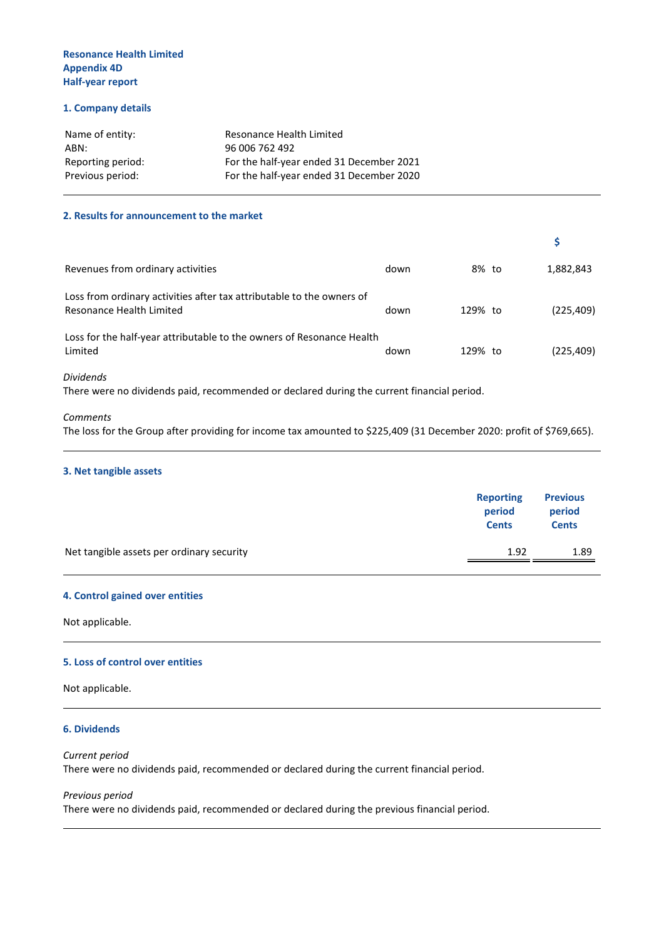#### **1. Company details**

| Name of entity:   | Resonance Health Limited                 |
|-------------------|------------------------------------------|
| ABN:              | 96 006 762 492                           |
| Reporting period: | For the half-year ended 31 December 2021 |
| Previous period:  | For the half-year ended 31 December 2020 |

#### **2. Results for announcement to the market**

| Revenues from ordinary activities                                                                 | down | 8% to   | 1,882,843  |
|---------------------------------------------------------------------------------------------------|------|---------|------------|
| Loss from ordinary activities after tax attributable to the owners of<br>Resonance Health Limited | down | 129% to | (225, 409) |
| Loss for the half-year attributable to the owners of Resonance Health<br>Limited                  | down | 129% to | (225, 409) |

**\$**

#### *Dividends*

There were no dividends paid, recommended or declared during the current financial period.

#### *Comments*

The loss for the Group after providing for income tax amounted to \$225,409 (31 December 2020: profit of \$769,665).

#### **3. Net tangible assets**

|                                           | <b>Reporting</b><br>period<br><b>Cents</b> | <b>Previous</b><br>period<br><b>Cents</b> |
|-------------------------------------------|--------------------------------------------|-------------------------------------------|
| Net tangible assets per ordinary security | 1.92                                       | 1.89                                      |

#### **4. Control gained over entities**

Not applicable.

#### **5. Loss of control over entities**

Not applicable.

#### **6. Dividends**

#### *Current period* There were no dividends paid, recommended or declared during the current financial period.

#### *Previous period*

There were no dividends paid, recommended or declared during the previous financial period.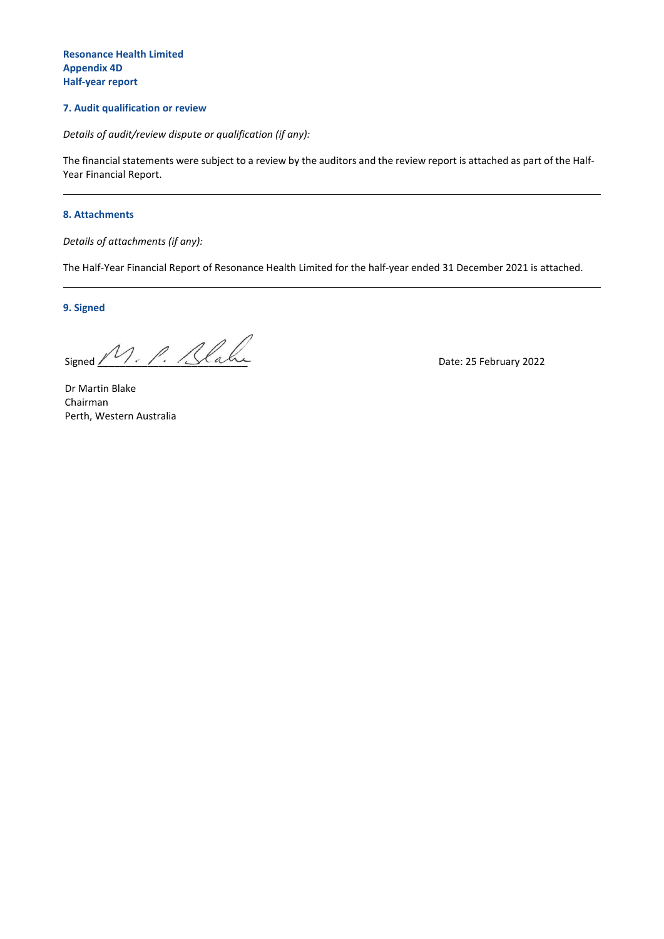#### **Resonance Health Limited Appendix 4D Half-year report**

#### **7. Audit qualification or review**

*Details of audit/review dispute or qualification (if any):*

The financial statements were subject to a review by the auditors and the review report is attached as part of the Half-Year Financial Report.

#### **8. Attachments**

*Details of attachments (if any):*

The Half-Year Financial Report of Resonance Health Limited for the half-year ended 31 December 2021 is attached.

**9. Signed**

Signed  $M. P. A$ 

Dr Martin Blake Chairman Perth, Western Australia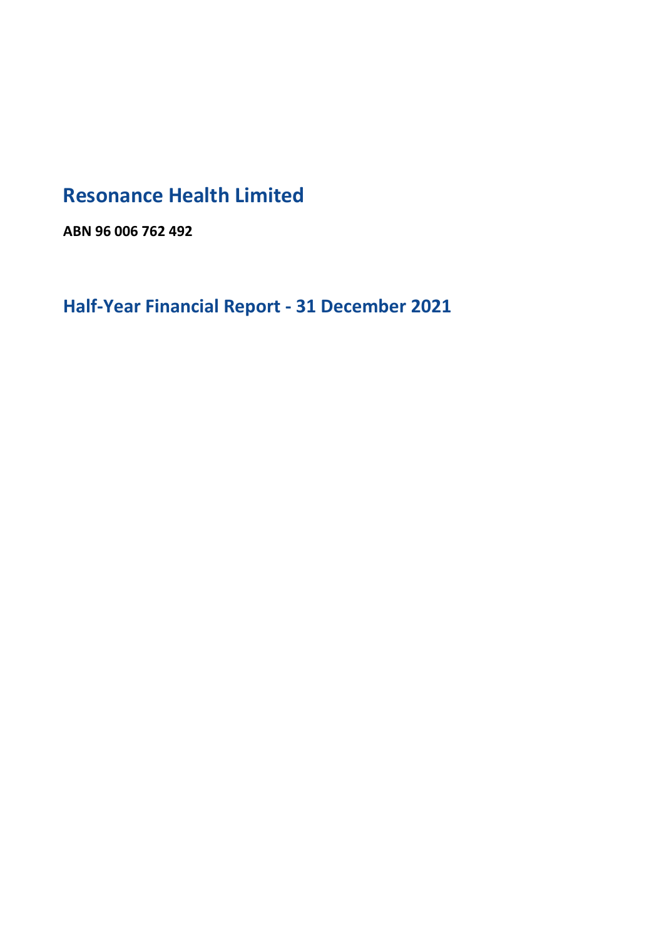# **Resonance Health Limited**

**ABN 96 006 762 492**

**Half-Year Financial Report - 31 December 2021**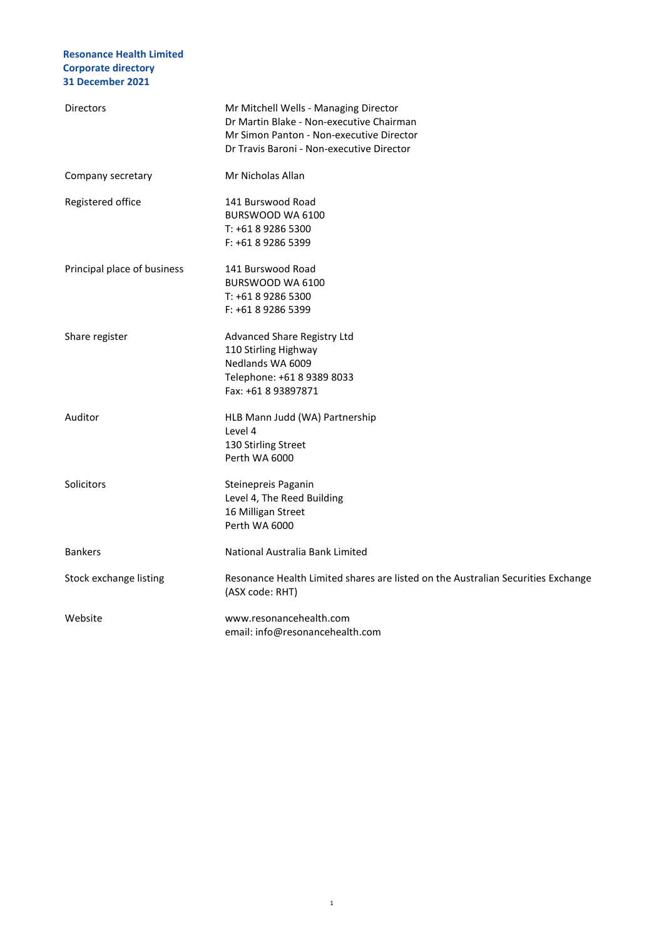#### **Resonance Health Limited Corporate directory 31 December 2021**

| <b>Directors</b>            | Mr Mitchell Wells - Managing Director<br>Dr Martin Blake - Non-executive Chairman<br>Mr Simon Panton - Non-executive Director<br>Dr Travis Baroni - Non-executive Director |
|-----------------------------|----------------------------------------------------------------------------------------------------------------------------------------------------------------------------|
| Company secretary           | Mr Nicholas Allan                                                                                                                                                          |
| Registered office           | 141 Burswood Road<br>BURSWOOD WA 6100<br>T: +61 8 9286 5300<br>F: +61 8 9286 5399                                                                                          |
| Principal place of business | 141 Burswood Road<br>BURSWOOD WA 6100<br>T: +61 8 9286 5300<br>F: +61 8 9286 5399                                                                                          |
| Share register              | Advanced Share Registry Ltd<br>110 Stirling Highway<br>Nedlands WA 6009<br>Telephone: +61 8 9389 8033<br>Fax: +61 8 93897871                                               |
| Auditor                     | HLB Mann Judd (WA) Partnership<br>Level 4<br>130 Stirling Street<br>Perth WA 6000                                                                                          |
| Solicitors                  | Steinepreis Paganin<br>Level 4, The Reed Building<br>16 Milligan Street<br>Perth WA 6000                                                                                   |
| <b>Bankers</b>              | National Australia Bank Limited                                                                                                                                            |
| Stock exchange listing      | Resonance Health Limited shares are listed on the Australian Securities Exchange<br>(ASX code: RHT)                                                                        |
| Website                     | www.resonancehealth.com<br>email: info@resonancehealth.com                                                                                                                 |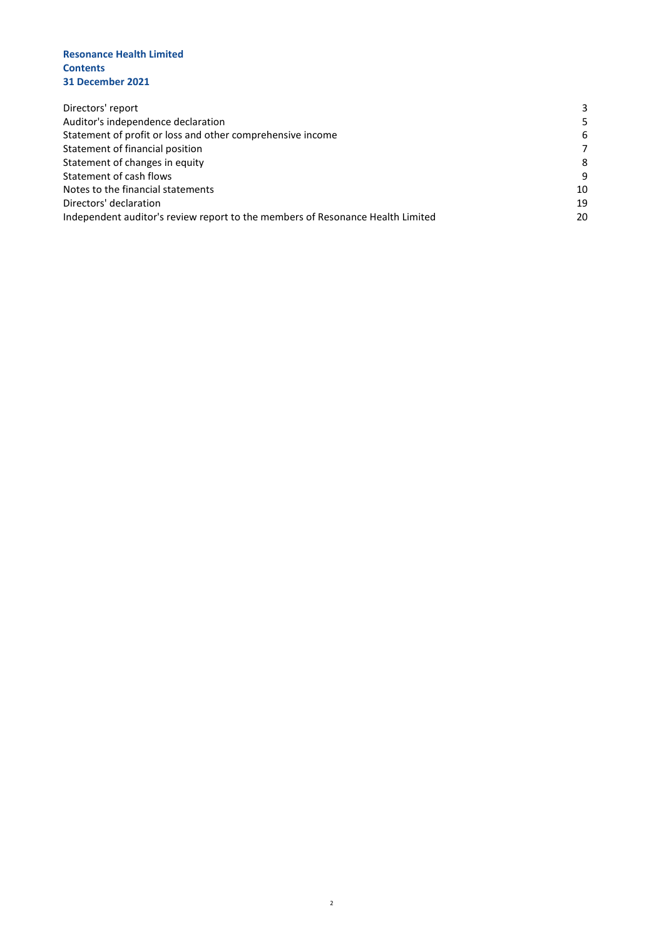#### **Resonance Health Limited Contents 31 December 2021**

| Directors' report                                                              | 3  |
|--------------------------------------------------------------------------------|----|
| Auditor's independence declaration                                             | 5  |
| Statement of profit or loss and other comprehensive income                     | 6  |
| Statement of financial position                                                |    |
| Statement of changes in equity                                                 | 8  |
| Statement of cash flows                                                        | 9  |
| Notes to the financial statements                                              | 10 |
| Directors' declaration                                                         | 19 |
| Independent auditor's review report to the members of Resonance Health Limited | 20 |
|                                                                                |    |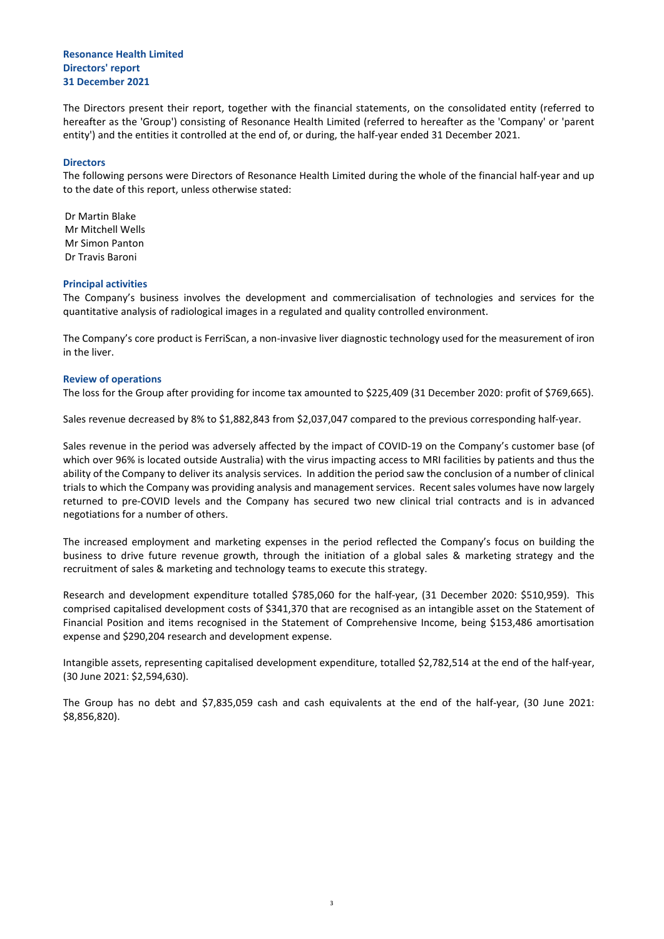#### **Resonance Health Limited Directors' report 31 December 2021**

The Directors present their report, together with the financial statements, on the consolidated entity (referred to hereafter as the 'Group') consisting of Resonance Health Limited (referred to hereafter as the 'Company' or 'parent entity') and the entities it controlled at the end of, or during, the half-year ended 31 December 2021.

#### **Directors**

The following persons were Directors of Resonance Health Limited during the whole of the financial half-year and up to the date of this report, unless otherwise stated:

Dr Martin Blake Mr Mitchell Wells Mr Simon Panton Dr Travis Baroni

#### **Principal activities**

The Company's business involves the development and commercialisation of technologies and services for the quantitative analysis of radiological images in a regulated and quality controlled environment.

The Company's core product is FerriScan, a non-invasive liver diagnostic technology used for the measurement of iron in the liver.

#### **Review of operations**

The loss for the Group after providing for income tax amounted to \$225,409 (31 December 2020: profit of \$769,665).

Sales revenue decreased by 8% to \$1,882,843 from \$2,037,047 compared to the previous corresponding half-year.

Sales revenue in the period was adversely affected by the impact of COVID-19 on the Company's customer base (of which over 96% is located outside Australia) with the virus impacting access to MRI facilities by patients and thus the ability of the Company to deliver its analysis services. In addition the period saw the conclusion of a number of clinical trials to which the Company was providing analysis and management services. Recent sales volumes have now largely returned to pre-COVID levels and the Company has secured two new clinical trial contracts and is in advanced negotiations for a number of others.

The increased employment and marketing expenses in the period reflected the Company's focus on building the business to drive future revenue growth, through the initiation of a global sales & marketing strategy and the recruitment of sales & marketing and technology teams to execute this strategy.

Research and development expenditure totalled \$785,060 for the half-year, (31 December 2020: \$510,959). This comprised capitalised development costs of \$341,370 that are recognised as an intangible asset on the Statement of Financial Position and items recognised in the Statement of Comprehensive Income, being \$153,486 amortisation expense and \$290,204 research and development expense.

Intangible assets, representing capitalised development expenditure, totalled \$2,782,514 at the end of the half-year, (30 June 2021: \$2,594,630).

The Group has no debt and \$7,835,059 cash and cash equivalents at the end of the half-year, (30 June 2021: \$8,856,820).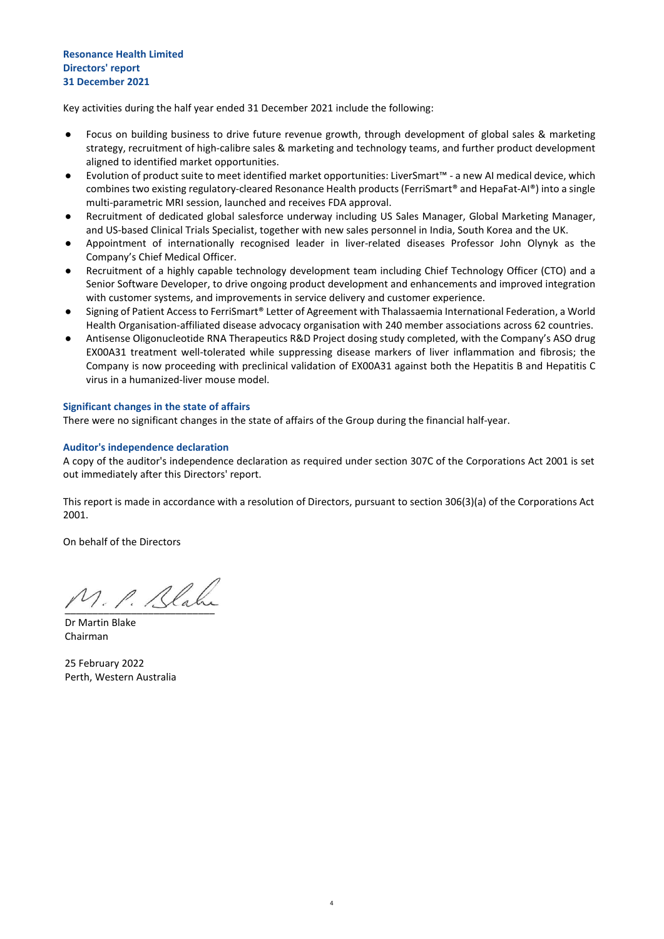#### **Resonance Health Limited Directors' report 31 December 2021**

Key activities during the half year ended 31 December 2021 include the following:

- Focus on building business to drive future revenue growth, through development of global sales & marketing strategy, recruitment of high-calibre sales & marketing and technology teams, and further product development aligned to identified market opportunities.
- Evolution of product suite to meet identified market opportunities: LiverSmart™ a new AI medical device, which combines two existing regulatory-cleared Resonance Health products (FerriSmart® and HepaFat-AI®) into a single multi-parametric MRI session, launched and receives FDA approval.
- Recruitment of dedicated global salesforce underway including US Sales Manager, Global Marketing Manager, and US-based Clinical Trials Specialist, together with new sales personnel in India, South Korea and the UK.
- Appointment of internationally recognised leader in liver-related diseases Professor John Olynyk as the Company's Chief Medical Officer.
- Recruitment of a highly capable technology development team including Chief Technology Officer (CTO) and a Senior Software Developer, to drive ongoing product development and enhancements and improved integration with customer systems, and improvements in service delivery and customer experience.
- Signing of Patient Access to FerriSmart® Letter of Agreement with Thalassaemia International Federation, a World Health Organisation-affiliated disease advocacy organisation with 240 member associations across 62 countries.
- Antisense Oligonucleotide RNA Therapeutics R&D Project dosing study completed, with the Company's ASO drug EX00A31 treatment well-tolerated while suppressing disease markers of liver inflammation and fibrosis; the Company is now proceeding with preclinical validation of EX00A31 against both the Hepatitis B and Hepatitis C virus in a humanized-liver mouse model.

#### **Significant changes in the state of affairs**

There were no significant changes in the state of affairs of the Group during the financial half-year.

#### **Auditor's independence declaration**

A copy of the auditor's independence declaration as required under section 307C of the Corporations Act 2001 is set out immediately after this Directors' report.

This report is made in accordance with a resolution of Directors, pursuant to section 306(3)(a) of the Corporations Act 2001.

On behalf of the Directors

M. P. Blake

Dr Martin Blake Chairman

25 February 2022 Perth, Western Australia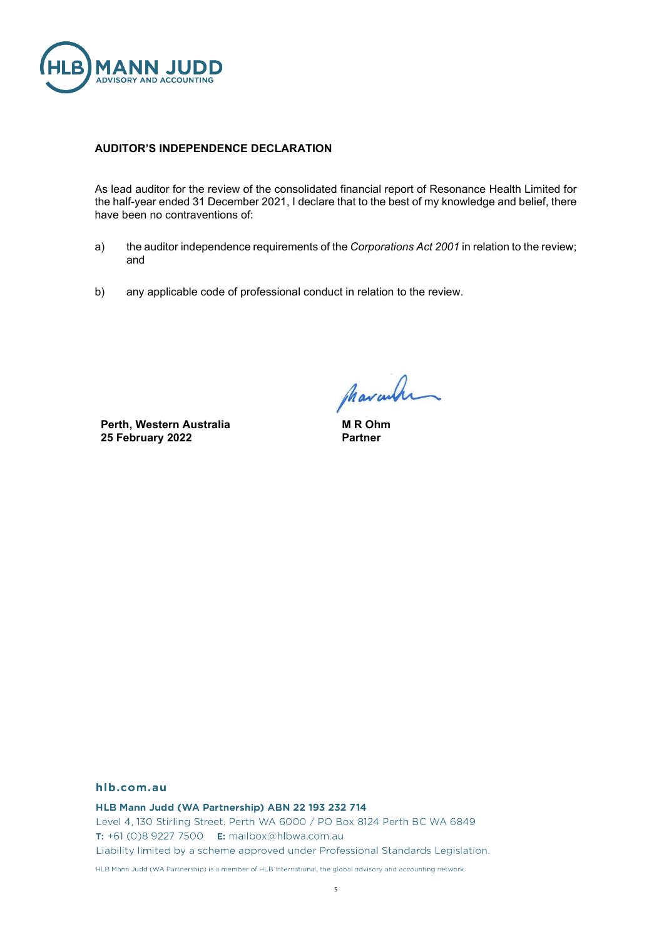

#### **AUDITOR'S INDEPENDENCE DECLARATION**

As lead auditor for the review of the consolidated financial report of Resonance Health Limited for the half-year ended 31 December 2021, I declare that to the best of my knowledge and belief, there have been no contraventions of:

- a) the auditor independence requirements of the *Corporations Act 2001* in relation to the review; and
- b) any applicable code of professional conduct in relation to the review.

**Perth, Western Australia 25 February 2022**

Marcula

**M R Ohm Partner**

### hlb.com.au

HLB Mann Judd (WA Partnership) ABN 22 193 232 714 Level 4, 130 Stirling Street, Perth WA 6000 / PO Box 8124 Perth BC WA 6849 **T:** +61 (0)8 9227 7500 **E:** mailbox@hlbwa.com.au Liability limited by a scheme approved under Professional Standards Legislation.

HLB Mann Judd (WA Partnership) is a member of HLB International, the global advisory and accounting network.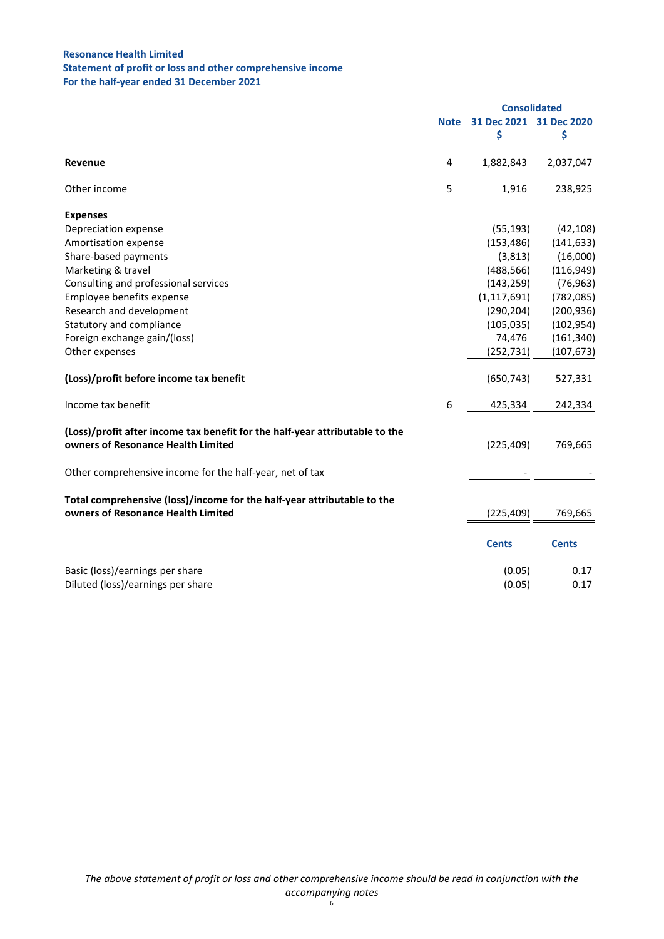# **Resonance Health Limited Statement of profit or loss and other comprehensive income**

| For the half-year ended 31 December 2021 |  |  |
|------------------------------------------|--|--|
|------------------------------------------|--|--|

|                                                                                                                    |             | <b>Consolidated</b> |                         |
|--------------------------------------------------------------------------------------------------------------------|-------------|---------------------|-------------------------|
|                                                                                                                    | <b>Note</b> |                     | 31 Dec 2021 31 Dec 2020 |
|                                                                                                                    |             | \$                  | \$                      |
| Revenue                                                                                                            | 4           | 1,882,843           | 2,037,047               |
| Other income                                                                                                       | 5           | 1,916               | 238,925                 |
| <b>Expenses</b>                                                                                                    |             |                     |                         |
| Depreciation expense                                                                                               |             | (55, 193)           | (42, 108)               |
| Amortisation expense                                                                                               |             | (153, 486)          | (141, 633)              |
| Share-based payments                                                                                               |             | (3,813)             | (16,000)                |
| Marketing & travel                                                                                                 |             | (488, 566)          | (116, 949)              |
| Consulting and professional services                                                                               |             | (143, 259)          | (76, 963)               |
| Employee benefits expense                                                                                          |             | (1, 117, 691)       | (782,085)               |
| Research and development                                                                                           |             | (290, 204)          | (200, 936)              |
| Statutory and compliance                                                                                           |             | (105, 035)          | (102, 954)              |
| Foreign exchange gain/(loss)                                                                                       |             | 74,476              | (161, 340)              |
| Other expenses                                                                                                     |             | (252, 731)          | (107, 673)              |
| (Loss)/profit before income tax benefit                                                                            |             | (650, 743)          | 527,331                 |
| Income tax benefit                                                                                                 | 6           | 425,334             | 242,334                 |
| (Loss)/profit after income tax benefit for the half-year attributable to the<br>owners of Resonance Health Limited |             | (225, 409)          | 769,665                 |
| Other comprehensive income for the half-year, net of tax                                                           |             |                     |                         |
| Total comprehensive (loss)/income for the half-year attributable to the<br>owners of Resonance Health Limited      |             | (225, 409)          | 769,665                 |
|                                                                                                                    |             | <b>Cents</b>        | <b>Cents</b>            |
| Basic (loss)/earnings per share                                                                                    |             | (0.05)              | 0.17                    |
| Diluted (loss)/earnings per share                                                                                  |             | (0.05)              | 0.17                    |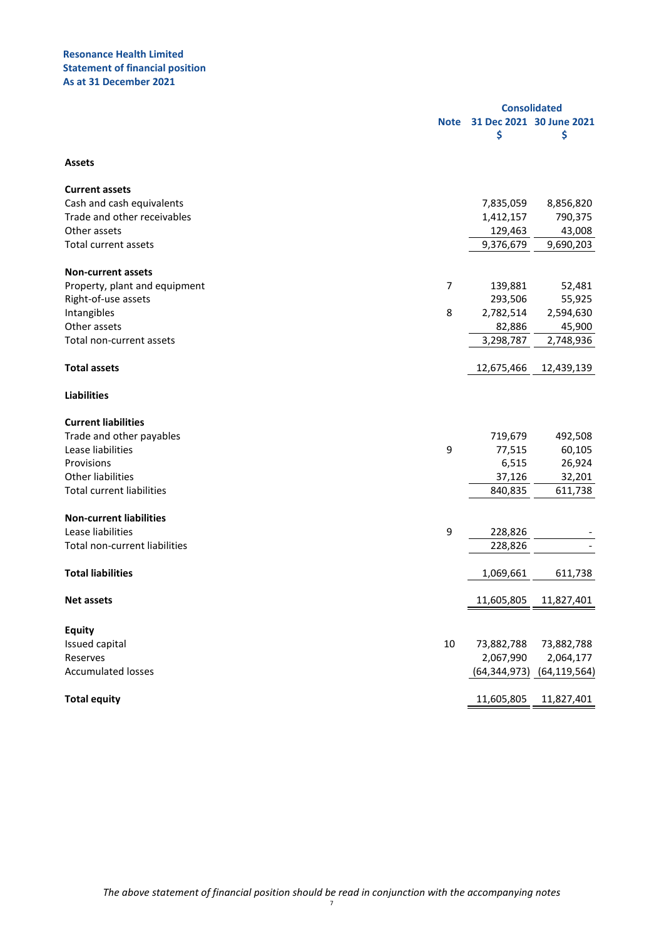#### **Resonance Health Limited Statement of financial position As at 31 December 2021**

|                                  |             | <b>Consolidated</b> |                                |
|----------------------------------|-------------|---------------------|--------------------------------|
|                                  | <b>Note</b> | \$                  | 31 Dec 2021 30 June 2021<br>\$ |
| <b>Assets</b>                    |             |                     |                                |
| <b>Current assets</b>            |             |                     |                                |
| Cash and cash equivalents        |             | 7,835,059           | 8,856,820                      |
| Trade and other receivables      |             | 1,412,157           | 790,375                        |
| Other assets                     |             | 129,463             | 43,008                         |
| <b>Total current assets</b>      |             | 9,376,679           | 9,690,203                      |
| <b>Non-current assets</b>        |             |                     |                                |
| Property, plant and equipment    | 7           | 139,881             | 52,481                         |
| Right-of-use assets              |             | 293,506             | 55,925                         |
| Intangibles                      | 8           | 2,782,514           | 2,594,630                      |
| Other assets                     |             | 82,886              | 45,900                         |
| Total non-current assets         |             | 3,298,787           | 2,748,936                      |
| <b>Total assets</b>              |             | 12,675,466          | 12,439,139                     |
| <b>Liabilities</b>               |             |                     |                                |
| <b>Current liabilities</b>       |             |                     |                                |
| Trade and other payables         |             | 719,679             | 492,508                        |
| Lease liabilities                | 9           | 77,515              | 60,105                         |
| Provisions                       |             | 6,515               | 26,924                         |
| <b>Other liabilities</b>         |             | 37,126              | 32,201                         |
| <b>Total current liabilities</b> |             | 840,835             | 611,738                        |
| <b>Non-current liabilities</b>   |             |                     |                                |
| Lease liabilities                | 9           | 228,826             |                                |
| Total non-current liabilities    |             | 228,826             |                                |
| <b>Total liabilities</b>         |             | 1,069,661           | 611,738                        |
| <b>Net assets</b>                |             | 11,605,805          | 11,827,401                     |
|                                  |             |                     |                                |
| <b>Equity</b><br>Issued capital  | 10          | 73,882,788          |                                |
| Reserves                         |             | 2,067,990           | 73,882,788<br>2,064,177        |
| <b>Accumulated losses</b>        |             | (64, 344, 973)      | (64, 119, 564)                 |
| <b>Total equity</b>              |             | 11,605,805          | 11,827,401                     |
|                                  |             |                     |                                |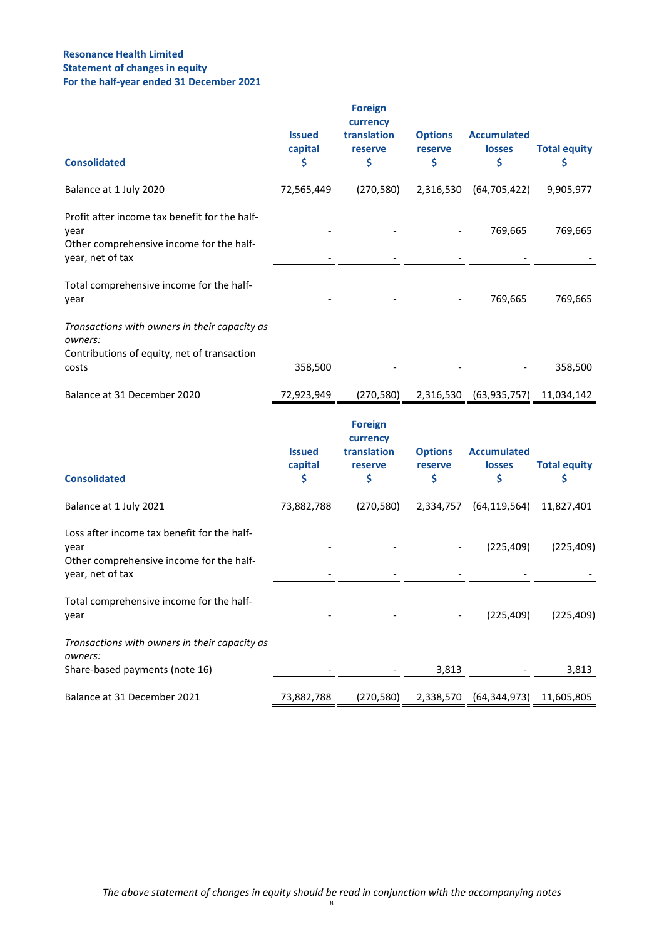#### **Resonance Health Limited Statement of changes in equity For the half-year ended 31 December 2021**

| <b>Consolidated</b>                                                                                                   | <b>Issued</b><br>capital<br>\$ | <b>Foreign</b><br>currency<br>translation<br>reserve<br>\$ | <b>Options</b><br>reserve<br>\$ | <b>Accumulated</b><br><b>losses</b><br>\$ | <b>Total equity</b><br>\$ |
|-----------------------------------------------------------------------------------------------------------------------|--------------------------------|------------------------------------------------------------|---------------------------------|-------------------------------------------|---------------------------|
| Balance at 1 July 2020                                                                                                | 72,565,449                     | (270, 580)                                                 | 2,316,530                       | (64, 705, 422)                            | 9,905,977                 |
| Profit after income tax benefit for the half-<br>year<br>Other comprehensive income for the half-<br>year, net of tax |                                |                                                            |                                 | 769,665                                   | 769,665                   |
| Total comprehensive income for the half-<br>year                                                                      |                                |                                                            |                                 | 769,665                                   | 769,665                   |
| Transactions with owners in their capacity as<br>owners:<br>Contributions of equity, net of transaction<br>costs      | 358,500                        |                                                            |                                 |                                           | 358,500                   |
| Balance at 31 December 2020                                                                                           | 72,923,949                     | (270, 580)                                                 |                                 | 2,316,530 (63,935,757) 11,034,142         |                           |
| <b>Consolidated</b>                                                                                                   | <b>Issued</b><br>capital<br>\$ | <b>Foreign</b><br>currency<br>translation<br>reserve<br>\$ | <b>Options</b><br>reserve<br>\$ | <b>Accumulated</b><br><b>losses</b><br>\$ | <b>Total equity</b><br>\$ |
| Balance at 1 July 2021                                                                                                | 73,882,788                     | (270, 580)                                                 | 2,334,757                       | (64, 119, 564)                            | 11,827,401                |
| Loss after income tax benefit for the half-<br>year<br>Other comprehensive income for the half-<br>year, net of tax   |                                |                                                            |                                 | (225, 409)                                | (225, 409)                |
| Total comprehensive income for the half-<br>year                                                                      |                                |                                                            |                                 | (225, 409)                                | (225, 409)                |
| Transactions with owners in their capacity as<br>owners:<br>Share-based payments (note 16)                            |                                |                                                            | 3,813                           |                                           | 3,813                     |
| Balance at 31 December 2021                                                                                           | 73,882,788                     | (270, 580)                                                 |                                 | 2,338,570 (64,344,973) 11,605,805         |                           |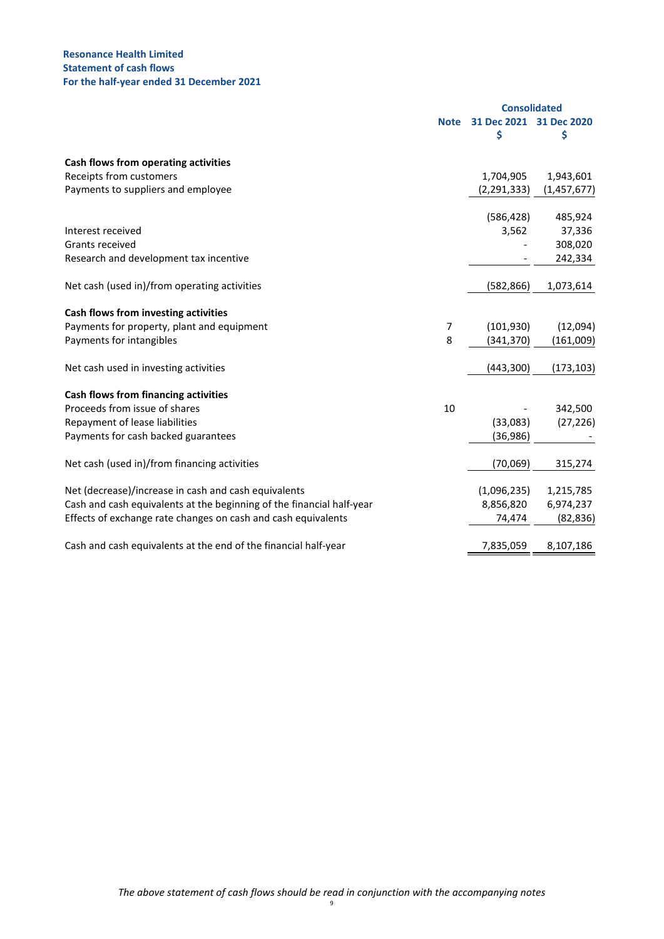#### **Resonance Health Limited Statement of cash flows For the half-year ended 31 December 2021**

|                                                                       |             |               | <b>Consolidated</b> |  |
|-----------------------------------------------------------------------|-------------|---------------|---------------------|--|
|                                                                       | <b>Note</b> | 31 Dec 2021   | 31 Dec 2020         |  |
|                                                                       |             | \$            | \$                  |  |
| Cash flows from operating activities                                  |             |               |                     |  |
| Receipts from customers                                               |             | 1,704,905     | 1,943,601           |  |
| Payments to suppliers and employee                                    |             | (2, 291, 333) | (1, 457, 677)       |  |
|                                                                       |             | (586, 428)    | 485,924             |  |
| Interest received                                                     |             | 3,562         | 37,336              |  |
| Grants received                                                       |             |               | 308,020             |  |
| Research and development tax incentive                                |             |               | 242,334             |  |
| Net cash (used in)/from operating activities                          |             | (582, 866)    | 1,073,614           |  |
| Cash flows from investing activities                                  |             |               |                     |  |
| Payments for property, plant and equipment                            | 7           | (101, 930)    | (12,094)            |  |
| Payments for intangibles                                              | 8           | (341, 370)    | (161,009)           |  |
| Net cash used in investing activities                                 |             | (443,300)     | (173, 103)          |  |
| Cash flows from financing activities                                  |             |               |                     |  |
| Proceeds from issue of shares                                         | 10          |               | 342,500             |  |
| Repayment of lease liabilities                                        |             | (33,083)      | (27, 226)           |  |
| Payments for cash backed guarantees                                   |             | (36, 986)     |                     |  |
| Net cash (used in)/from financing activities                          |             | (70,069)      | 315,274             |  |
| Net (decrease)/increase in cash and cash equivalents                  |             | (1,096,235)   | 1,215,785           |  |
| Cash and cash equivalents at the beginning of the financial half-year |             | 8,856,820     | 6,974,237           |  |
| Effects of exchange rate changes on cash and cash equivalents         |             | 74,474        | (82, 836)           |  |
| Cash and cash equivalents at the end of the financial half-year       |             | 7,835,059     | 8,107,186           |  |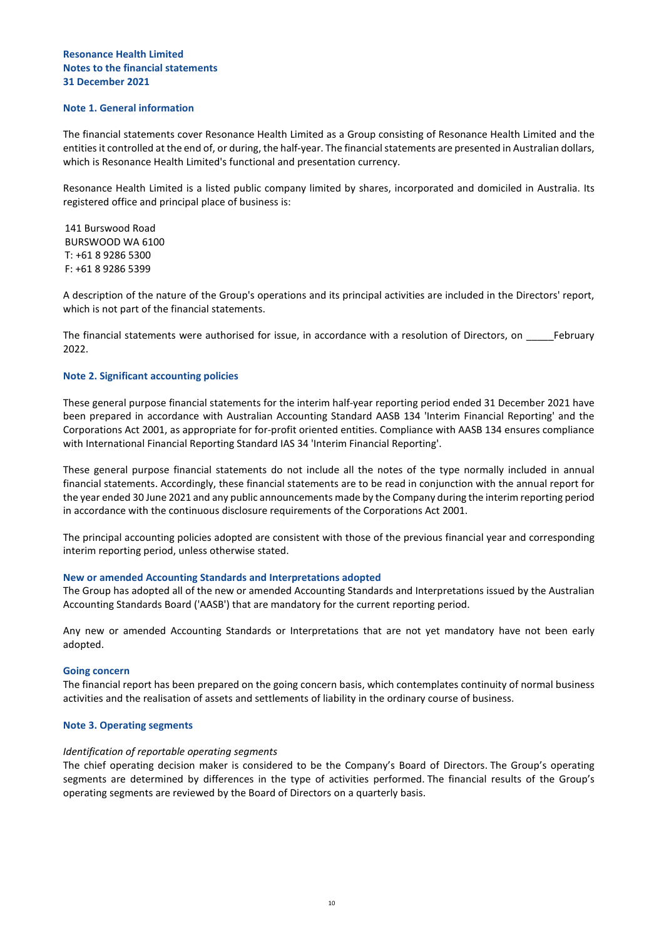#### **Note 1. General information**

The financial statements cover Resonance Health Limited as a Group consisting of Resonance Health Limited and the entities it controlled at the end of, or during, the half-year. The financial statements are presented in Australian dollars, which is Resonance Health Limited's functional and presentation currency.

Resonance Health Limited is a listed public company limited by shares, incorporated and domiciled in Australia. Its registered office and principal place of business is:

141 Burswood Road BURSWOOD WA 6100 T: +61 8 9286 5300 F: +61 8 9286 5399

A description of the nature of the Group's operations and its principal activities are included in the Directors' report, which is not part of the financial statements.

The financial statements were authorised for issue, in accordance with a resolution of Directors, on February 2022.

#### **Note 2. Significant accounting policies**

These general purpose financial statements for the interim half-year reporting period ended 31 December 2021 have been prepared in accordance with Australian Accounting Standard AASB 134 'Interim Financial Reporting' and the Corporations Act 2001, as appropriate for for-profit oriented entities. Compliance with AASB 134 ensures compliance with International Financial Reporting Standard IAS 34 'Interim Financial Reporting'.

These general purpose financial statements do not include all the notes of the type normally included in annual financial statements. Accordingly, these financial statements are to be read in conjunction with the annual report for the year ended 30 June 2021 and any public announcements made by the Company during the interim reporting period in accordance with the continuous disclosure requirements of the Corporations Act 2001.

The principal accounting policies adopted are consistent with those of the previous financial year and corresponding interim reporting period, unless otherwise stated.

#### **New or amended Accounting Standards and Interpretations adopted**

The Group has adopted all of the new or amended Accounting Standards and Interpretations issued by the Australian Accounting Standards Board ('AASB') that are mandatory for the current reporting period.

Any new or amended Accounting Standards or Interpretations that are not yet mandatory have not been early adopted.

#### **Going concern**

The financial report has been prepared on the going concern basis, which contemplates continuity of normal business activities and the realisation of assets and settlements of liability in the ordinary course of business.

#### **Note 3. Operating segments**

#### *Identification of reportable operating segments*

The chief operating decision maker is considered to be the Company's Board of Directors. The Group's operating segments are determined by differences in the type of activities performed. The financial results of the Group's operating segments are reviewed by the Board of Directors on a quarterly basis.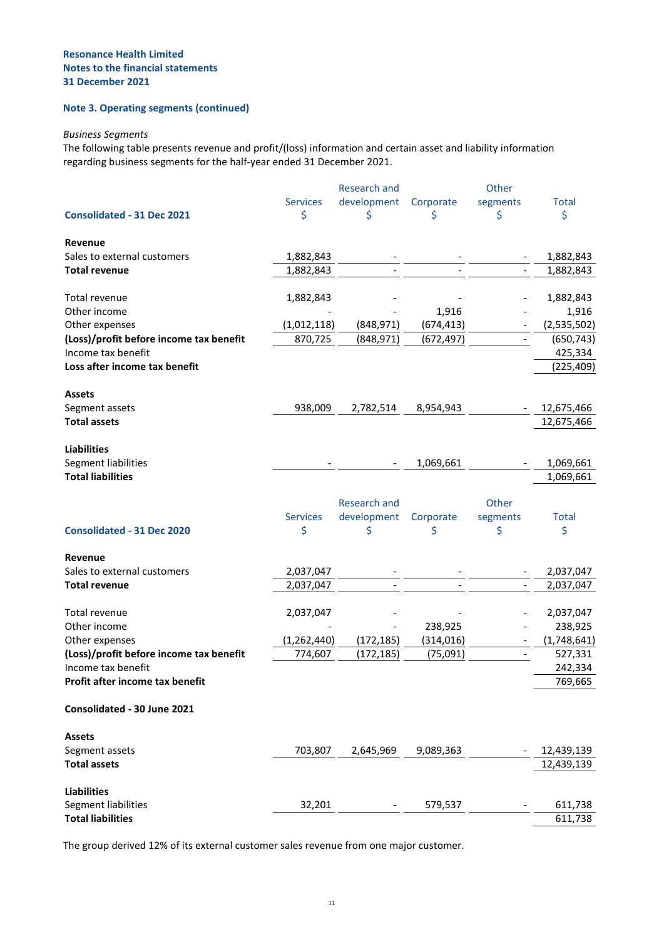#### **Note 3. Operating segments (continued)**

#### *Business Segments*

The following table presents revenue and profit/(loss) information and certain asset and liability information regarding business segments for the half-year ended 31 December 2021.

|                                         |                 | <b>Research and</b>                |            | Other                    |              |
|-----------------------------------------|-----------------|------------------------------------|------------|--------------------------|--------------|
|                                         | <b>Services</b> | development                        | Corporate  | segments                 | <b>Total</b> |
| <b>Consolidated - 31 Dec 2021</b>       | \$              | Ś                                  | \$         | \$                       | \$           |
| Revenue                                 |                 |                                    |            |                          |              |
| Sales to external customers             | 1,882,843       |                                    |            |                          | 1,882,843    |
| <b>Total revenue</b>                    | 1,882,843       |                                    |            |                          | 1,882,843    |
| Total revenue                           | 1,882,843       |                                    |            |                          | 1,882,843    |
| Other income                            |                 |                                    | 1,916      |                          | 1,916        |
| Other expenses                          | (1,012,118)     | (848, 971)                         | (674, 413) |                          | (2,535,502)  |
| (Loss)/profit before income tax benefit | 870,725         | (848, 971)                         | (672, 497) | $\overline{\phantom{a}}$ | (650, 743)   |
| Income tax benefit                      |                 |                                    |            |                          | 425,334      |
| Loss after income tax benefit           |                 |                                    |            |                          | (225, 409)   |
| <b>Assets</b>                           |                 |                                    |            |                          |              |
| Segment assets                          | 938,009         | 2,782,514                          | 8,954,943  |                          | 12,675,466   |
| <b>Total assets</b>                     |                 |                                    |            |                          | 12,675,466   |
| <b>Liabilities</b>                      |                 |                                    |            |                          |              |
| Segment liabilities                     |                 |                                    | 1,069,661  |                          | 1,069,661    |
| <b>Total liabilities</b>                |                 |                                    |            |                          | 1,069,661    |
|                                         | <b>Services</b> | <b>Research and</b><br>development | Corporate  | Other<br>segments        | <b>Total</b> |
| <b>Consolidated - 31 Dec 2020</b>       | \$              | \$                                 | \$         | \$                       | \$           |
| Revenue                                 |                 |                                    |            |                          |              |
| Sales to external customers             | 2,037,047       |                                    |            |                          | 2,037,047    |
| <b>Total revenue</b>                    | 2,037,047       |                                    |            |                          | 2,037,047    |
| Total revenue                           | 2,037,047       |                                    |            |                          | 2,037,047    |
| Other income                            |                 |                                    | 238,925    |                          | 238,925      |
| Other expenses                          | (1, 262, 440)   | (172, 185)                         | (314, 016) |                          | (1,748,641)  |
| (Loss)/profit before income tax benefit | 774,607         | (172, 185)                         | (75,091)   | $\overline{\phantom{a}}$ | 527,331      |
| Income tax benefit                      |                 |                                    |            |                          | 242,334      |
| Profit after income tax benefit         |                 |                                    |            |                          | 769,665      |
| Consolidated - 30 June 2021             |                 |                                    |            |                          |              |
| <b>Assets</b>                           |                 |                                    |            |                          |              |
| Segment assets                          | 703,807         | 2,645,969                          | 9,089,363  |                          | 12,439,139   |
| <b>Total assets</b>                     |                 |                                    |            |                          | 12,439,139   |
| <b>Liabilities</b>                      |                 |                                    |            |                          |              |
| Segment liabilities                     | 32,201          |                                    | 579,537    |                          | 611,738      |
| <b>Total liabilities</b>                |                 |                                    |            |                          | 611,738      |

The group derived 12% of its external customer sales revenue from one major customer.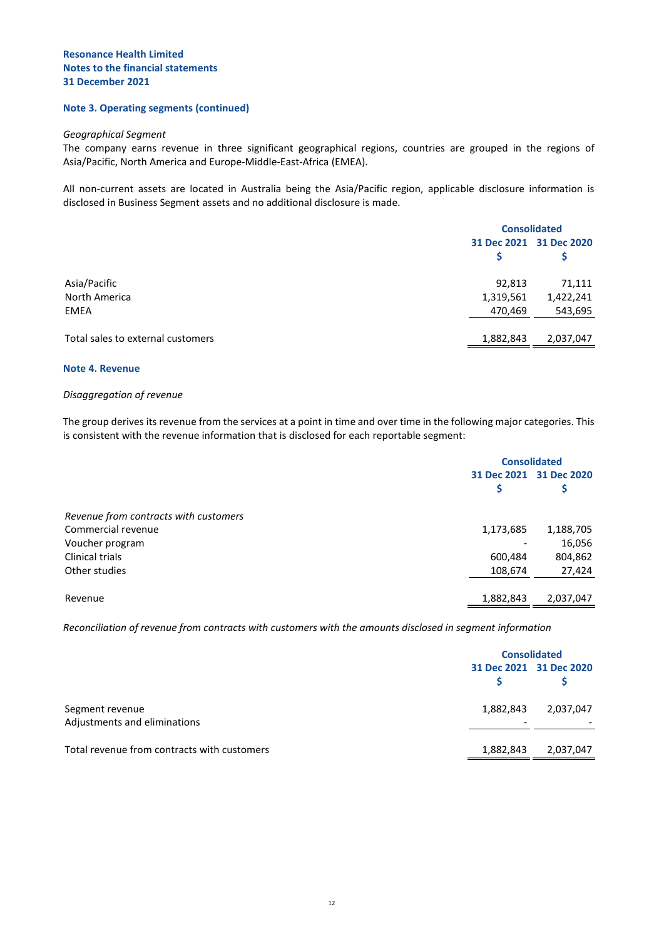#### **Note 3. Operating segments (continued)**

#### *Geographical Segment*

The company earns revenue in three significant geographical regions, countries are grouped in the regions of Asia/Pacific, North America and Europe-Middle-East-Africa (EMEA).

All non-current assets are located in Australia being the Asia/Pacific region, applicable disclosure information is disclosed in Business Segment assets and no additional disclosure is made.

|                                   | <b>Consolidated</b> |                         |
|-----------------------------------|---------------------|-------------------------|
|                                   |                     | 31 Dec 2021 31 Dec 2020 |
|                                   |                     |                         |
| Asia/Pacific                      | 92,813              | 71,111                  |
| North America                     | 1,319,561           | 1,422,241               |
| <b>EMEA</b>                       | 470,469             | 543,695                 |
| Total sales to external customers | 1,882,843           | 2,037,047               |

#### <span id="page-14-0"></span>**Note 4. Revenue**

#### *Disaggregation of revenue*

The group derives its revenue from the services at a point in time and over time in the following major categories. This is consistent with the revenue information that is disclosed for each reportable segment:

|                                       |           | <b>Consolidated</b>     |  |
|---------------------------------------|-----------|-------------------------|--|
|                                       |           | 31 Dec 2021 31 Dec 2020 |  |
|                                       |           |                         |  |
| Revenue from contracts with customers |           |                         |  |
| Commercial revenue                    | 1,173,685 | 1,188,705               |  |
| Voucher program                       |           | 16,056                  |  |
| Clinical trials                       | 600,484   | 804,862                 |  |
| Other studies                         | 108,674   | 27,424                  |  |
|                                       |           |                         |  |
| Revenue                               | 1,882,843 | 2,037,047               |  |

*Reconciliation of revenue from contracts with customers with the amounts disclosed in segment information*

|                                                 | <b>Consolidated</b> |                         |  |
|-------------------------------------------------|---------------------|-------------------------|--|
|                                                 |                     | 31 Dec 2021 31 Dec 2020 |  |
| Segment revenue<br>Adjustments and eliminations | 1,882,843           | 2,037,047               |  |
| Total revenue from contracts with customers     | 1,882,843           | 2,037,047               |  |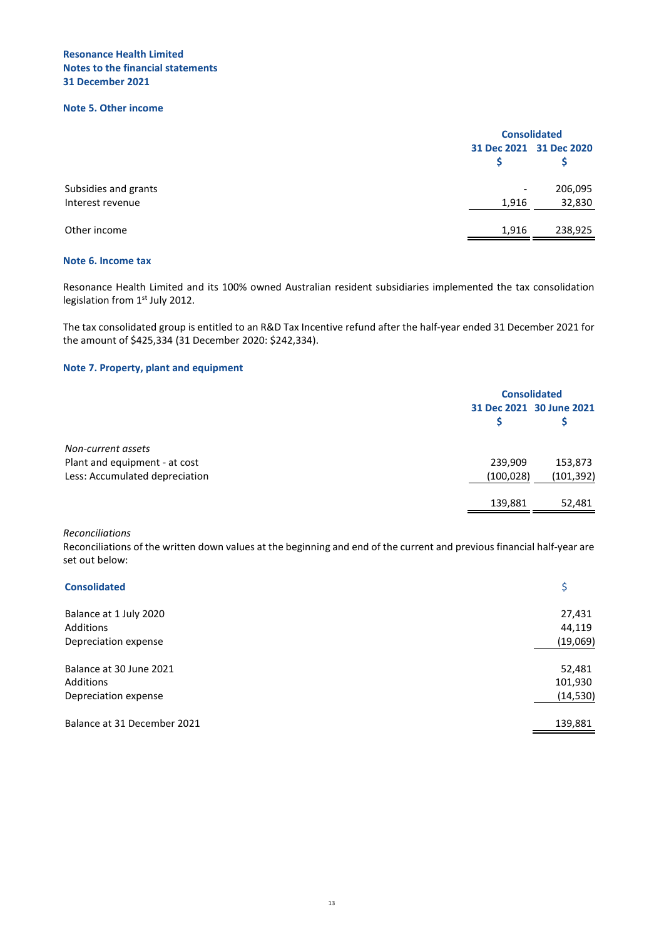#### <span id="page-15-0"></span>**Note 5. Other income**

|                      |                          | <b>Consolidated</b> |  |
|----------------------|--------------------------|---------------------|--|
|                      | 31 Dec 2021 31 Dec 2020  |                     |  |
| Subsidies and grants | $\overline{\phantom{a}}$ | 206,095             |  |
| Interest revenue     | 1,916                    | 32,830              |  |
| Other income         | 1,916                    | 238,925             |  |

#### <span id="page-15-1"></span>**Note 6. Income tax**

Resonance Health Limited and its 100% owned Australian resident subsidiaries implemented the tax consolidation legislation from 1<sup>st</sup> July 2012.

The tax consolidated group is entitled to an R&D Tax Incentive refund after the half-year ended 31 December 2021 for the amount of \$425,334 (31 December 2020: \$242,334).

#### <span id="page-15-2"></span>**Note 7. Property, plant and equipment**

|                                |            | <b>Consolidated</b>      |  |
|--------------------------------|------------|--------------------------|--|
|                                |            | 31 Dec 2021 30 June 2021 |  |
|                                |            |                          |  |
| Non-current assets             |            |                          |  |
| Plant and equipment - at cost  | 239,909    | 153,873                  |  |
| Less: Accumulated depreciation | (100, 028) | (101, 392)               |  |
|                                | 139,881    | 52,481                   |  |

*Reconciliations*

Reconciliations of the written down values at the beginning and end of the current and previous financial half-year are set out below:

| <b>Consolidated</b>         |           |
|-----------------------------|-----------|
| Balance at 1 July 2020      | 27,431    |
| Additions                   | 44,119    |
| Depreciation expense        | (19,069)  |
| Balance at 30 June 2021     | 52,481    |
| <b>Additions</b>            | 101,930   |
| Depreciation expense        | (14, 530) |
| Balance at 31 December 2021 | 139,881   |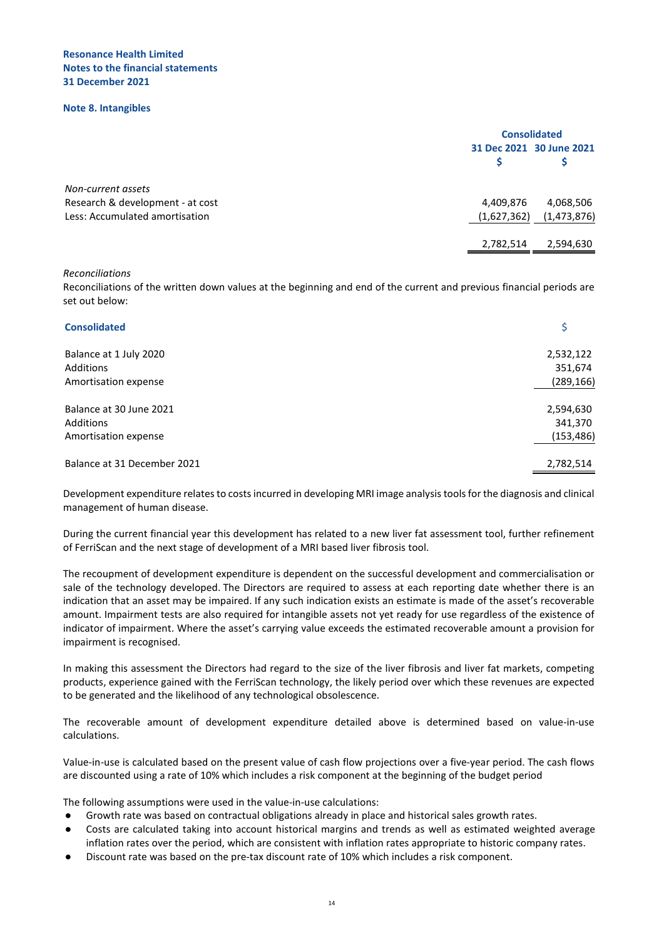#### **Note 8. Intangibles**

<span id="page-16-0"></span>

|                                  | <b>Consolidated</b>        |
|----------------------------------|----------------------------|
|                                  | 31 Dec 2021 30 June 2021   |
| Non-current assets               |                            |
| Research & development - at cost | 4,409,876<br>4,068,506     |
| Less: Accumulated amortisation   | (1,473,876)<br>(1,627,362) |
|                                  | 2,782,514<br>2,594,630     |
|                                  |                            |

#### *Reconciliations*

Reconciliations of the written down values at the beginning and end of the current and previous financial periods are set out below:

| <b>Consolidated</b>         |            |
|-----------------------------|------------|
| Balance at 1 July 2020      | 2,532,122  |
| <b>Additions</b>            | 351,674    |
| Amortisation expense        | (289, 166) |
| Balance at 30 June 2021     | 2,594,630  |
| <b>Additions</b>            | 341,370    |
| Amortisation expense        | (153, 486) |
| Balance at 31 December 2021 | 2,782,514  |

Development expenditure relates to costs incurred in developing MRI image analysis tools for the diagnosis and clinical management of human disease.

During the current financial year this development has related to a new liver fat assessment tool, further refinement of FerriScan and the next stage of development of a MRI based liver fibrosis tool.

The recoupment of development expenditure is dependent on the successful development and commercialisation or sale of the technology developed. The Directors are required to assess at each reporting date whether there is an indication that an asset may be impaired. If any such indication exists an estimate is made of the asset's recoverable amount. Impairment tests are also required for intangible assets not yet ready for use regardless of the existence of indicator of impairment. Where the asset's carrying value exceeds the estimated recoverable amount a provision for impairment is recognised.

In making this assessment the Directors had regard to the size of the liver fibrosis and liver fat markets, competing products, experience gained with the FerriScan technology, the likely period over which these revenues are expected to be generated and the likelihood of any technological obsolescence.

The recoverable amount of development expenditure detailed above is determined based on value-in-use calculations.

Value-in-use is calculated based on the present value of cash flow projections over a five-year period. The cash flows are discounted using a rate of 10% which includes a risk component at the beginning of the budget period

The following assumptions were used in the value-in-use calculations:

- Growth rate was based on contractual obligations already in place and historical sales growth rates.
- Costs are calculated taking into account historical margins and trends as well as estimated weighted average inflation rates over the period, which are consistent with inflation rates appropriate to historic company rates.
- Discount rate was based on the pre-tax discount rate of 10% which includes a risk component.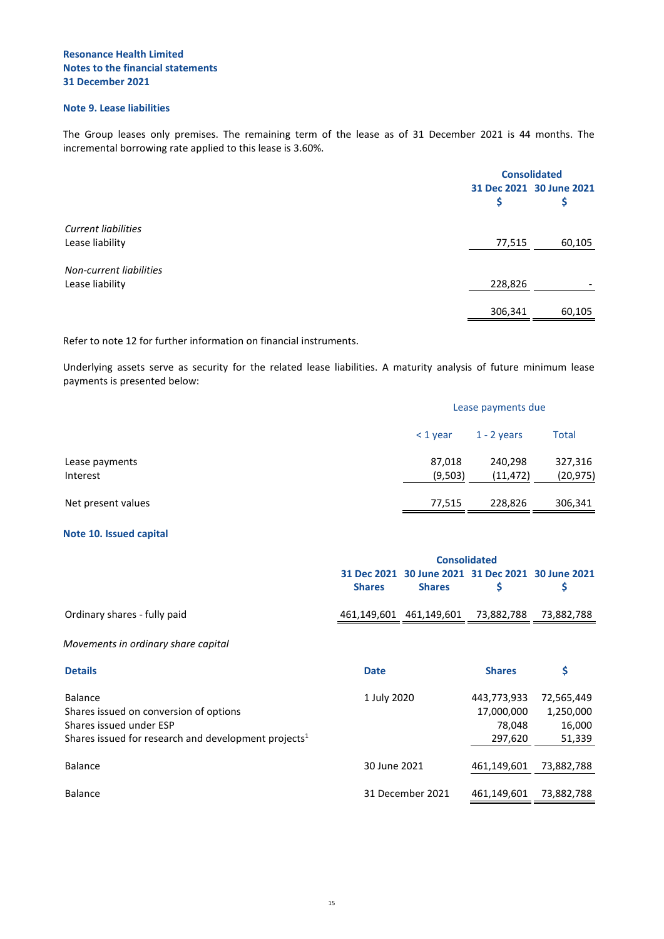#### <span id="page-17-0"></span>**Note 9. Lease liabilities**

The Group leases only premises. The remaining term of the lease as of 31 December 2021 is 44 months. The incremental borrowing rate applied to this lease is 3.60%.

|                            | <b>Consolidated</b> |                          |
|----------------------------|---------------------|--------------------------|
|                            |                     | 31 Dec 2021 30 June 2021 |
|                            | \$                  |                          |
| <b>Current liabilities</b> |                     |                          |
| Lease liability            | 77,515              | 60,105                   |
| Non-current liabilities    |                     |                          |
| Lease liability            | 228,826             |                          |
|                            | 306,341             | 60,105                   |

Refer to note 12 for further information on financial instruments.

Underlying assets serve as security for the related lease liabilities. A maturity analysis of future minimum lease payments is presented below:

|                            | Lease payments due |                      |                      |
|----------------------------|--------------------|----------------------|----------------------|
|                            | $<$ 1 year         | $1 - 2$ years        | <b>Total</b>         |
| Lease payments<br>Interest | 87,018<br>(9,503)  | 240,298<br>(11, 472) | 327,316<br>(20, 975) |
| Net present values         | 77,515             | 228,826              | 306,341              |

#### **Note 10. Issued capital**

<span id="page-17-1"></span>

|                                                                  | <b>Consolidated</b>          |                         |               |                                             |
|------------------------------------------------------------------|------------------------------|-------------------------|---------------|---------------------------------------------|
|                                                                  | 31 Dec 2021<br><b>Shares</b> | <b>Shares</b>           | \$            | 30 June 2021 31 Dec 2021 30 June 2021<br>\$ |
| Ordinary shares - fully paid                                     |                              | 461,149,601 461,149,601 | 73,882,788    | 73,882,788                                  |
| Movements in ordinary share capital                              |                              |                         |               |                                             |
| <b>Details</b>                                                   | <b>Date</b>                  |                         | <b>Shares</b> | \$                                          |
| <b>Balance</b>                                                   | 1 July 2020                  |                         | 443,773,933   | 72,565,449                                  |
| Shares issued on conversion of options                           |                              |                         | 17,000,000    | 1,250,000                                   |
| Shares issued under ESP                                          |                              |                         | 78,048        | 16,000                                      |
| Shares issued for research and development projects <sup>1</sup> |                              |                         | 297,620       | 51,339                                      |
|                                                                  |                              |                         |               |                                             |
| <b>Balance</b>                                                   | 30 June 2021                 |                         | 461,149,601   | 73,882,788                                  |
|                                                                  |                              |                         |               |                                             |
| <b>Balance</b>                                                   |                              | 31 December 2021        | 461,149,601   | 73,882,788                                  |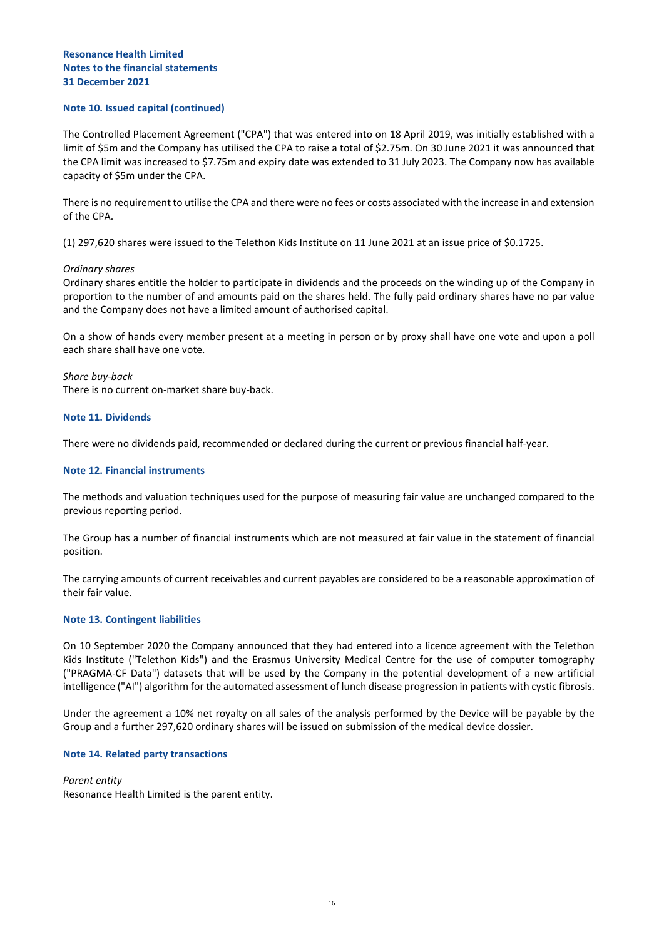#### **Note 10. Issued capital (continued)**

The Controlled Placement Agreement ("CPA") that was entered into on 18 April 2019, was initially established with a limit of \$5m and the Company has utilised the CPA to raise a total of \$2.75m. On 30 June 2021 it was announced that the CPA limit was increased to \$7.75m and expiry date was extended to 31 July 2023. The Company now has available capacity of \$5m under the CPA.

There is no requirement to utilise the CPA and there were no fees or costs associated with the increase in and extension of the CPA.

(1) 297,620 shares were issued to the Telethon Kids Institute on 11 June 2021 at an issue price of \$0.1725.

#### *Ordinary shares*

Ordinary shares entitle the holder to participate in dividends and the proceeds on the winding up of the Company in proportion to the number of and amounts paid on the shares held. The fully paid ordinary shares have no par value and the Company does not have a limited amount of authorised capital.

On a show of hands every member present at a meeting in person or by proxy shall have one vote and upon a poll each share shall have one vote.

*Share buy-back* There is no current on-market share buy-back.

#### **Note 11. Dividends**

There were no dividends paid, recommended or declared during the current or previous financial half-year.

#### **Note 12. Financial instruments**

The methods and valuation techniques used for the purpose of measuring fair value are unchanged compared to the previous reporting period.

The Group has a number of financial instruments which are not measured at fair value in the statement of financial position.

The carrying amounts of current receivables and current payables are considered to be a reasonable approximation of their fair value.

#### **Note 13. Contingent liabilities**

On 10 September 2020 the Company announced that they had entered into a licence agreement with the Telethon Kids Institute ("Telethon Kids") and the Erasmus University Medical Centre for the use of computer tomography ("PRAGMA-CF Data") datasets that will be used by the Company in the potential development of a new artificial intelligence ("AI") algorithm for the automated assessment of lunch disease progression in patients with cystic fibrosis.

Under the agreement a 10% net royalty on all sales of the analysis performed by the Device will be payable by the Group and a further 297,620 ordinary shares will be issued on submission of the medical device dossier.

#### **Note 14. Related party transactions**

*Parent entity* Resonance Health Limited is the parent entity.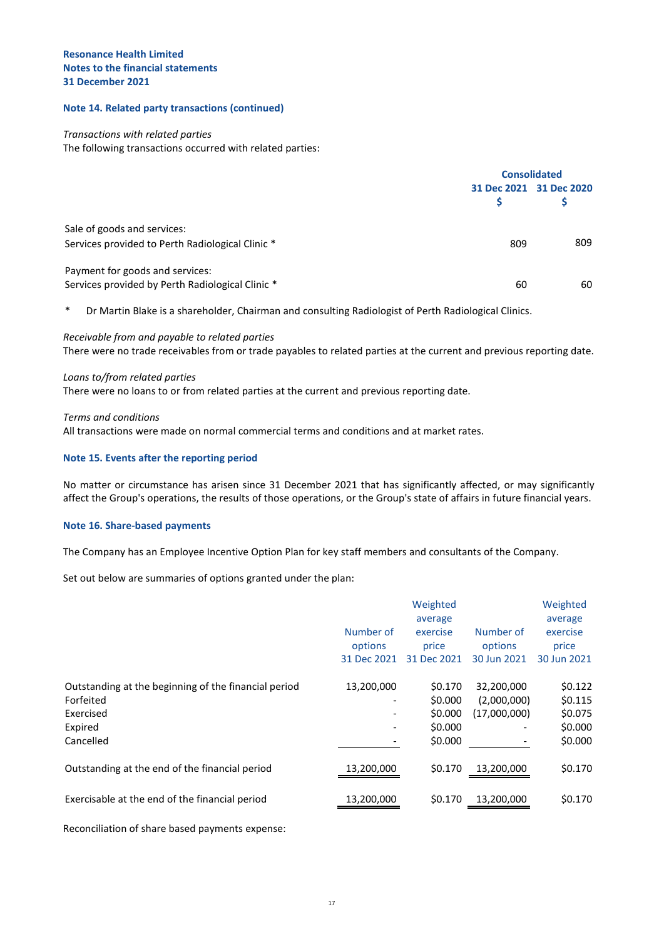#### **Note 14. Related party transactions (continued)**

#### *Transactions with related parties*

The following transactions occurred with related parties:

|                                                                                     | <b>Consolidated</b> |                         |
|-------------------------------------------------------------------------------------|---------------------|-------------------------|
|                                                                                     |                     | 31 Dec 2021 31 Dec 2020 |
| Sale of goods and services:<br>Services provided to Perth Radiological Clinic *     | 809                 | 809                     |
| Payment for goods and services:<br>Services provided by Perth Radiological Clinic * | 60                  | 60                      |

\* Dr Martin Blake is a shareholder, Chairman and consulting Radiologist of Perth Radiological Clinics.

#### *Receivable from and payable to related parties*

There were no trade receivables from or trade payables to related parties at the current and previous reporting date.

#### *Loans to/from related parties*

There were no loans to or from related parties at the current and previous reporting date.

*Terms and conditions*

All transactions were made on normal commercial terms and conditions and at market rates.

#### **Note 15. Events after the reporting period**

No matter or circumstance has arisen since 31 December 2021 that has significantly affected, or may significantly affect the Group's operations, the results of those operations, or the Group's state of affairs in future financial years.

#### **Note 16. Share-based payments**

The Company has an Employee Incentive Option Plan for key staff members and consultants of the Company.

Set out below are summaries of options granted under the plan:

|                                                      |             | Weighted    |              | Weighted    |
|------------------------------------------------------|-------------|-------------|--------------|-------------|
|                                                      |             | average     |              | average     |
|                                                      | Number of   | exercise    | Number of    | exercise    |
|                                                      | options     | price       | options      | price       |
|                                                      | 31 Dec 2021 | 31 Dec 2021 | 30 Jun 2021  | 30 Jun 2021 |
| Outstanding at the beginning of the financial period | 13,200,000  | \$0.170     | 32,200,000   | \$0.122     |
| Forfeited                                            |             | \$0.000     | (2,000,000)  | \$0.115     |
| Exercised                                            |             | \$0.000     | (17,000,000) | \$0.075     |
| Expired                                              |             | \$0.000     |              | \$0.000     |
| Cancelled                                            |             | \$0.000     |              | \$0.000     |
| Outstanding at the end of the financial period       | 13,200,000  | \$0.170     | 13,200,000   | \$0.170     |
| Exercisable at the end of the financial period       | 13,200,000  | \$0.170     | 13,200,000   | \$0.170     |

Reconciliation of share based payments expense: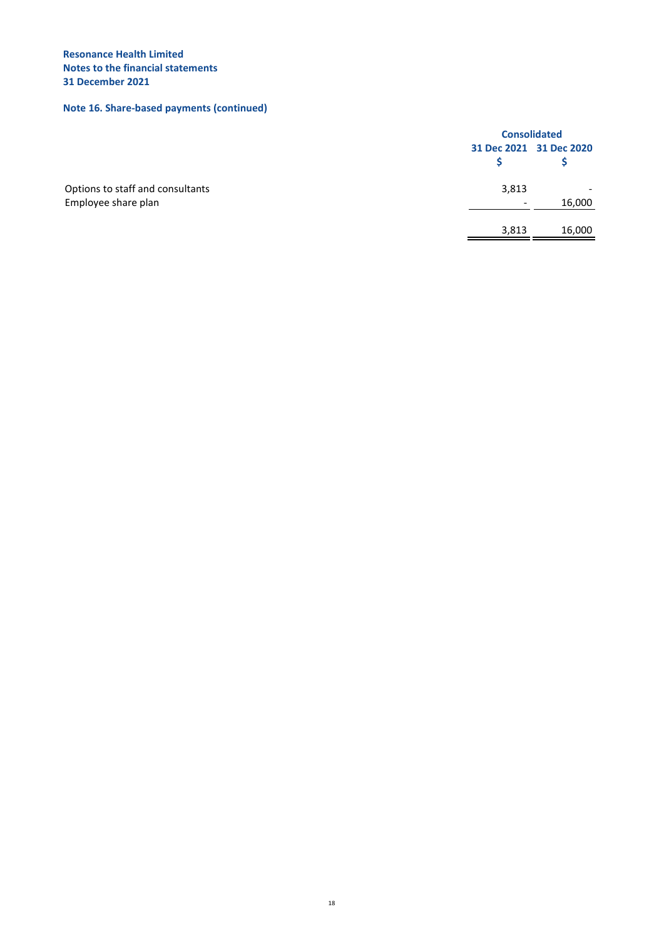#### **Note 16. Share-based payments (continued)**

|                                                         |       | <b>Consolidated</b>     |  |
|---------------------------------------------------------|-------|-------------------------|--|
|                                                         |       | 31 Dec 2021 31 Dec 2020 |  |
| Options to staff and consultants<br>Employee share plan | 3,813 | 16,000                  |  |
|                                                         |       |                         |  |
|                                                         | 3,813 | 16,000                  |  |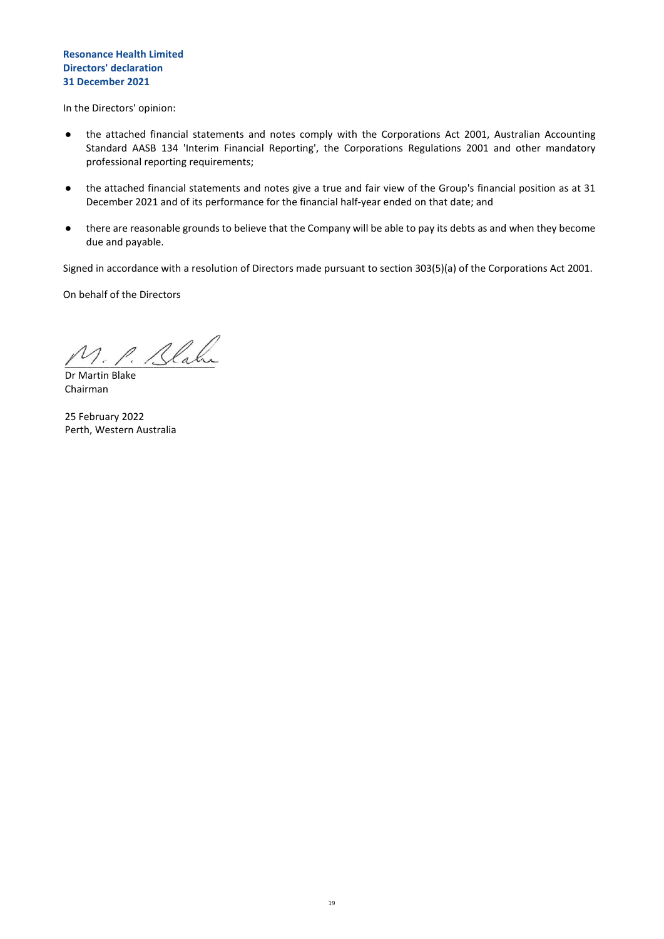#### **Resonance Health Limited Directors' declaration 31 December 2021**

In the Directors' opinion:

- the attached financial statements and notes comply with the Corporations Act 2001, Australian Accounting Standard AASB 134 'Interim Financial Reporting', the Corporations Regulations 2001 and other mandatory professional reporting requirements;
- the attached financial statements and notes give a true and fair view of the Group's financial position as at 31 December 2021 and of its performance for the financial half-year ended on that date; and
- there are reasonable grounds to believe that the Company will be able to pay its debts as and when they become due and payable.

Signed in accordance with a resolution of Directors made pursuant to section 303(5)(a) of the Corporations Act 2001.

On behalf of the Directors

1. Blake

Dr Martin Blake Chairman

25 February 2022 Perth, Western Australia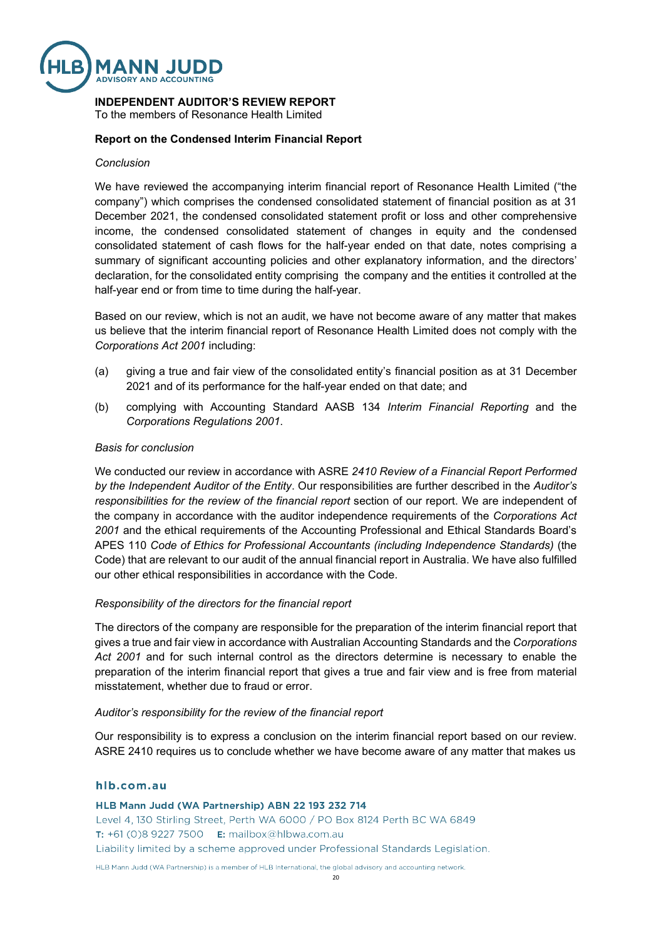

## **INDEPENDENT AUDITOR'S REVIEW REPORT**

To the members of Resonance Health Limited

#### **Report on the Condensed Interim Financial Report**

#### *Conclusion*

We have reviewed the accompanying interim financial report of Resonance Health Limited ("the company") which comprises the condensed consolidated statement of financial position as at 31 December 2021, the condensed consolidated statement profit or loss and other comprehensive income, the condensed consolidated statement of changes in equity and the condensed consolidated statement of cash flows for the half-year ended on that date, notes comprising a summary of significant accounting policies and other explanatory information, and the directors' declaration, for the consolidated entity comprising the company and the entities it controlled at the half-year end or from time to time during the half-year.

Based on our review, which is not an audit, we have not become aware of any matter that makes us believe that the interim financial report of Resonance Health Limited does not comply with the *Corporations Act 2001* including:

- (a) giving a true and fair view of the consolidated entity's financial position as at 31 December 2021 and of its performance for the half-year ended on that date; and
- (b) complying with Accounting Standard AASB 134 *Interim Financial Reporting* and the *Corporations Regulations 2001*.

#### *Basis for conclusion*

We conducted our review in accordance with ASRE *2410 Review of a Financial Report Performed by the Independent Auditor of the Entity*. Our responsibilities are further described in the *Auditor's responsibilities for the review of the financial report* section of our report. We are independent of the company in accordance with the auditor independence requirements of the *Corporations Act 2001* and the ethical requirements of the Accounting Professional and Ethical Standards Board's APES 110 *Code of Ethics for Professional Accountants (including Independence Standards)* (the Code) that are relevant to our audit of the annual financial report in Australia. We have also fulfilled our other ethical responsibilities in accordance with the Code.

#### *Responsibility of the directors for the financial report*

The directors of the company are responsible for the preparation of the interim financial report that gives a true and fair view in accordance with Australian Accounting Standards and the *Corporations Act 2001* and for such internal control as the directors determine is necessary to enable the preparation of the interim financial report that gives a true and fair view and is free from material misstatement, whether due to fraud or error.

#### *Auditor's responsibility for the review of the financial report*

Our responsibility is to express a conclusion on the interim financial report based on our review. ASRE 2410 requires us to conclude whether we have become aware of any matter that makes us

#### hlb.com.au

HLB Mann Judd (WA Partnership) ABN 22 193 232 714 Level 4, 130 Stirling Street, Perth WA 6000 / PO Box 8124 Perth BC WA 6849 T: +61 (0)8 9227 7500 E: mailbox@hlbwa.com.au Liability limited by a scheme approved under Professional Standards Legislation.

HLB Mann Judd (WA Partnership) is a member of HLB International, the global advisory and accounting network.